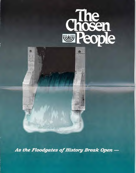

As the Floodgates of History Break Open -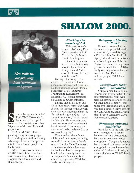



*New believers are following Jesus' command*  in *baptism.* 

ix months ago we launched SHALOM 2000 — a bold plan to reach the top 11 countries that contain more than 94 percent of the world's Jewish population.

SHALOM 2000 calls for planting many new congregations, adding new staff and taking advantage of every new opportunity to reach Jewish people for the Messiah.

After 100 years of ministry, it's also a good time to look at how we're doing. Here's a brief progress report to inspire and challenge you.

# **SHALOM 2000.**

### *Shaking the streets of L.A.*

This year, we welcomed missionary Don Meecha to the staff of Chosen People Ministries in Los Angeles.

Don's birth parents were Jewish, but he was adopted by a Catholic family. He didn't discover his Jewish heritage until he was 23.

During Bible college Don noticed his ministry to Jewish people seemed especially fruitful. He then attended Chosen People Ministries' STEP (Summer Training and Evangelism Program) in 1992, which cemented his calling to Jewish ministry.

During that STEP, Don and CPM missionary James Fox weresharing the Gospel with a Jewish man who was arguing against the Gospel and angry at God. "In the end," said Don, "he did accept the Messiah. He was crying, and there was a crowd of people standing all around. It was one of the most emotional experiences I have ever seen in my life."

Don is excited about future ministry in Los Angeles, including evangelistic outreaches in Jewish areas of the city. He will also work to motivate local churches to get involved with Jewish evangelism. Los Angeles currently leads the development of a standardized volunteer program for CPM that can be used in any city.

### *Bringing a blessing to Brazil.*

Eduardo Loewenthal, our volunteer and potential missionary to Brazil, is establishing a CPM branch in Sao Paulo. In April, Eduardo and our missionary from Argentina, Roberto Passo, coordinated a large evangelistic outreach there. A Bible study was begun from that outreach. Of Sao Paulo's 18.3 million people, 250,000 are Jewish.

### *Evangelism times two — worldwide.*

Our Summer Training and Evangelism Program (STEP) goes international this year, with training sessions planned for both Chicago and Germany. From those two locations, participants will join outreach teams going to the U.S., Canada, Brazil, Argentina, France, Germany, Latvia, Belarus and Ukraine.

### *Ukrainian outreach multiplies.*

Established in the early 199 our congregation of Jewish believers in Kiev, Ukraine has become an avenue to Jewish evangelism. Congregation members and staff in Kiev coordinate evangelistic outreaches to other cities in Ukraine and Russia, an area with close to 750,000 Jewish people.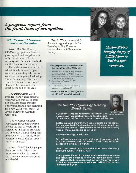# *A progress report from the front lines of evangelism.*

### *What's ahead between now and December.*

*Israel:* Beit Sar Shalom, CPM's congregation in Israel, is growing and maturing dramatically. Services are filled to capacity and it's time to establish another location for ministry.

Our only missionary in Israel, Albert Israeli, cannot keep up with the demanding schedule of witnessing, discipling, leadership training and evangelistic outreaches by himself. We hope to place another missionary in Israel by the end of the year.

*The Pacific Rim:* CPM President Sam Nadler plans to visit Australia this fall to establish contacts, assess ministry opportunities and begin planning for a new CPM work there. A Jewish believer in Australia writes to us:

*"I have been involved in outreach to the Jewish community for the past 27 years. But I am now 64 and not as energetic as I once was. I am looking over my shoulder, so to speak, to the younger ones and finding none to carry on the work."* 

About 100,000 Jewish people live in Australia. Most have never been touched by a solid and consistent witness for Jesus our Messiah.

Brazil: We want to solidify the work begun this year in Sao Paulo by adding Eduardo Loewenthal as a full-time missionary.

### *Please pray as we work to achieve these four critical SHALOM 2000 goals:*

- *I. Establish a CPM work M every nation with a Jewish population of Ix, 000 or more.*
- *2 Select and commission 20 new missionaries to key North American cities.*
- *3 Expand our staff in \_Israel by 20 missionaries*
- *Locate 20 new missionaries to other key*  countries around the world.

*You can also help with a .special gfft now for this bold evangelistic outreach.* 



*Shalom 2000 is bringing the joy of ftiffilled faith to Jewish people worldwide.* 



*Sam Naito; President Chasm People Ministth:\$* 

## *As the Floodgates of History Break Open.*

A year ago, I was convinced that the Spirit of God was moving in a special way among Jewish people all over the world. Today, I'm more convinced than ever.

Just look around. Our ministry in Israel is bursting at the seams. The congregation in Kiev is sending out missionaries in their own country and abroad. STEP summer outreaches are training twice as many evangelists as last year!

These are exciting, historic days.

But halfway through our centennial year, it's a good time to examine ourselves and our ministry. David's request as recorded in the Psalms is our own:

"Search me, 0 God, and know my heart; test me and know my anxious thoughts." (Psalm 139:23)

It's my prayer this month as we pause to see where we are and seek divine guidance for how we should proceed - that we will know God's presence in a fresh way. Thank you for your faithfulness in prayer as we face the second half of this incredible centennial year.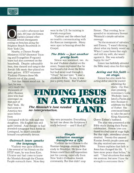

n a sultry afternoon last July, 60-year-old Simon Epstein joined other Russian Jewish immigrants resting on benches along the Brighton Beach Boardwalk in New York City.

Nearby, a Chosen People Ministries STEP (Summer Training and Evangelism Program) team had also convened on the boardwalk. Despite unbearable heat, they danced and sang to the Jewish folk music they played on their guitars. STEP volunteer Vladimir Pikman chose Mr. Epstein out of the crowd.

Not that Simon stood out. In

fact, he was *very* much like thousands of other Russian Jews who had converged on that part of New York. He had come to America two years before from

Leningrad with his wife and two daughters. His English was still quite limited. And though he had attended synagogue back home in Leningrad, he didn't consider himself exceptionally devout.

### *Outreach team speaks the language.*

Vladimir was quite different. Like several of his friends on the STEP team, he was from Kiev, Ukraine and had come to know the Messiah through the Chosen People outreach there. Now they

were in the US. for training in Jewish evangelism.

Vladimir and the others had no trouble communicating with the Russian immigrants. Many were open to hearing about the Gospel.

### *The Bible —just another pretty book.*

Simon was interested, too. As he and Vladimir chatted on the street, Simon explained that he had heard a lot about the Bible but had never read through it. "Once," he said later, "I read a children's Bible. To me, it was just a pretty book. But Vladimir

Simon. That evening, he responded to missionary Stewart Weinisch's simple salvation message.

"At the moment of salvation," said Simon, "I wasn't thinking about what my family would say. When I came home that night and told my wife, she wasn't against it. She was actually happy for me!"

Simon has faithfully attended the Bible study since his first night.

### *Acting out his faith on stage.*

Simon has also made his acting debut since he started

attending the study. Our Russian-speaking missionary, Lydi Wechsler, translated a Purim pla into Russian to celebrate the Fe of Esther. She convinced Simon to take the part of King Ahasuerus,

**FINDING JESUS IN A STRANGE**  *The Messiah's love needed no interpretation.*  LAND.

> was very persuasive. Everything he told me about the Scriptures I really believed — and I liked it!"

### *Simple salvation message transforms a life.*

Vladimir invited Simon to the Russian-language evening Bible study in Brooklyn. He knew that Simon could face stiff opposition just for coming, especially from New York's Orthodox Jewish community. But that didn't stop

Queen Esther's husband.

The play was presented at the Bible study during their Purim celebration. Simon later confessed to a bad case of stage fright. But that night, attendance almost doubled. Twenty-five unsaved Russian Jewish people came and the play received rave reviews.

Simon explains that faith in Jesus has changed his life. "I have more peace than before," he said. "I had situations that made me anxious, but now I have the strength to overcome them."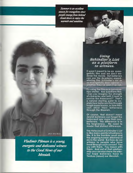*Summer is an excellent seasonfor evangelism since people emergefrom behind closed doors to enjoy the warmth and sunshine.* 



**It wasn't meant to be an evangelistic film and we don't endorse the movie. But believers can use the Academy-awardwinning film** Schindler's List as an evangelistic door-opener whether they've seen it or not.

Try using the film as a conversa**tion-starter. Ask questions like, "Can you imagine the strength of character and faith it took to survive the Holocaust'?" That's a natural starting point to explain how believers live through tough experiences, or how they can shed their bitterness through the Messiah.** 

Of course, that doesn't mean Jewish believers can forget the Holocaust any more than nonbelievers. The difference is in the forgiveness. We need to model that distinct difference.

The Holocaust ofSchindler's List is like many painful situations in life. It is the horrible result and the ongoing human dilemma of sin in the world. But how do we witness to people who have lived through such sorrow? You cry with them. You mourn with them. And out of that relationship you can also share the eternal hope believers have in Yeshua (Jesus) our Messiah.

photo: Steve Burns

*nadimir Pikman is a young, energetic and dedicated witness to the Good News ofour Messiah.*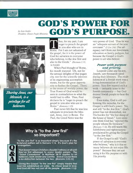

# **GOD'S POWER FOR** *President, Chosen People Ministries* **GOD'S** *PURP* **OSE•**

by Sam Nadler<br>President, Chosen People Ministries



*Shating Jesus, our Messiah, is a privilege for all believers.* 

Thus, for my part, I am<br>
eager to preach the gospe<br>
to you also who are in<br>
Rome. For I am not ashamed of eager to preach the gospel to you also who are in the gospel, for it is the power of God for salvation to everyone who believes, to the Jew first and also to the Greek." *(Romans 1:15, 16 NASB)* 

When Paul thought of Rome, his mouth watered. Oh, not for the sensual delights of that pagan city, nor for the scientific interests of its engineering accomplishments, but for the great opportunity to further the Gospel. There, at the center of worldly power, the True Power of God would be seen in contradiction to what the world had to offer. Thus, Paul declares he is "eager to preach the gospel to you also who are in Rome." *(Romans 1:15)* 

Paul never felt that he was less adequate to proclaim the Messiah, Jesus, even in Rome. For Paul, the Good News was the

# **Why is "to the Jew first" so important?**

"To the Jew first" is so important simply because it's the Scriptural pattern set in Romans 1:16. It's God's plan for evangelism.



That doesn't mean Christians shouldn't witness at all until they've first witnessed to every Jewish person. The "Great Commission" in Matthew 28:19 applies to all believers, both Jewish and Gentile. And of course there is no distinction between the two. *(Romans 3:22,23)* 

Giving the Gospel "to the Jew first" simply means that God has established an order. He chose Israel in love. And God still has not cast off His people. (Romans 11:2)

very power of God. Thus he was an "adequate servant of the new covenant." *(2 Cor. 3:6)* Our adequacy isn't from our Jewishness, education or family pedigree, but because the Gospel is God's power to all who believe.

### *Power with purpose and priority.*

Leopold Cohn and his son, Joseph, saw thousands saved during their lifetimes. The establishment of a Jewish work was a living demonstration of God's power. Very few wanted such a work — certainly none in the Jewish community — but God desired Jewish people to hear the Gospel.

Even today, God is still performing His miracles, for the Gospel is still God's power. Yes, and still "to the Jew first." God's power has not diminished, nor His burden for "the lost sheep of the house of Israel." Lest someone think God has "rejected His people whom He foreknew" *(Romans 11:2),* He still wants His faithfulness and righteousness proclaimed by giving the Gospel "to the Jew first."

If the Gospel is still "God's power of salvation to everyone who believes," why is it that so many believers do not enjoy His power? Because they are not using it for His purpose or with His priority.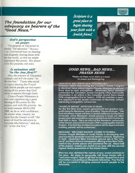

*The foundation for our adequacy as bearers of the "Good News."* 

### *God's perspective on power.*

**NE** 

The purpose of His power is simple: "for salvation." (Romans 1:16) God would have us desiring and diligently sharing Jesus with the lost world, so that we might experience His power. His power is for His purpose, not ours.

### *Is salvation still "to the Jew first?"*

Also, the priority of His power is simple and still the same: "to the Jew first." Those who avoid or neglect sharing the Gospel with Jewish people are not experiencing all the power that God wants to express through them.

Chosen People Ministries is even now experiencing a great blessing of His power for His purpose and with His priority. As we work towards SHALOM 2000, we do so with confidence. No matter what country, we know that the Gospel is still "the power of God for salvation to everyone who believes," and yes, still "to the Jew first."

*Scripture is a great place to begin skating yourfaith with a Jewish fiend* 



*photo.. Doug Easton* 

### *GOOD NEWS...BAD NEWS... PRAYER NEWS*

Please use these news briefs as a basis for prayer and thanksgiving.

### ORTHODOX ASK CPM TO STOP "DOORBELLING."

Orthodox rabbis representing the Canadian Jewish Congress in Montreal have asked Chosen People Ministries to discontinue door-to-door evangelism. Missionary Percy Johnson contacted the Canadian Jewish Congress citing inaccurate information in an article in the Canadian Jewish News about CPM congregation She'ar Yashuv. CPM will maintain a sensitive approach to the Jewish community of Montreal, without repressing evangelistic outreaches.

#### "HOUSE OF REFUGE" APPROVED IN ISRAEL.

For the first time ever, Israel's government has granted nonprofit status for Messianic Jews to build a "house of refuge." This kind of halfway house will take in Jewish believers during times of trouble, since Messianic Jewish people in Israel are often persecuted and sometimes even evicted from their homes for their faith in Jesus. This is an effort of the Messianic community of the Sharon area which includes CPM's congregation Beit Sar Shalom. Pray that the architectural plans will be approved and building permits will be authorized.

### MESSIANIC "WELCOME WAGON" COMES TO FLORIDA.

Chosen People Ministries in south Florida is developing new approaches to generate unsaved Jewish contacts. Beginning in April, missionary Winn Crenshaw placed ads in the "personal" sections of local newspapers offering a free New Testament to any Jewish person who answered the ad. About half of the papers' readers are Jewish in an area with the second highest Jewish population in the United States.

Winn has also obtained the names of new Jewish residents in the area. He plans to personally visit those homes with a "welcome wagon" type of gift that includes Gospel tracts and information concerning our Messianic fellowship. Pray that he will be successful in bringing unsaved Jewish people to the fellowship.